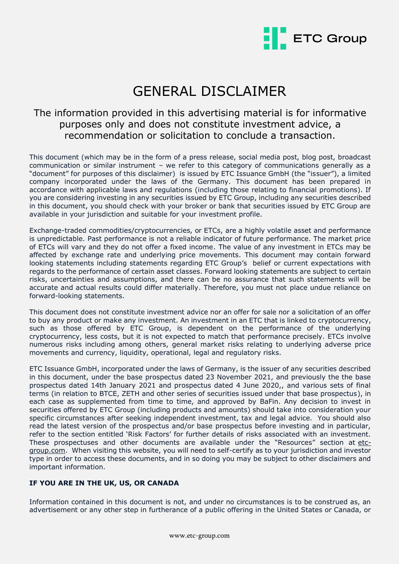

# GENERAL DISCLAIMER

# The information provided in this advertising material is for informative purposes only and does not constitute investment advice, a recommendation or solicitation to conclude a transaction.

This document (which may be in the form of a press release, social media post, blog post, broadcast communication or similar instrument – we refer to this category of communications generally as a "document" for purposes of this disclaimer) is issued by ETC Issuance GmbH (the "issuer"), a limited company incorporated under the laws of the Germany. This document has been prepared in accordance with applicable laws and regulations (including those relating to financial promotions). If you are considering investing in any securities issued by ETC Group, including any securities described in this document, you should check with your broker or bank that securities issued by ETC Group are available in your jurisdiction and suitable for your investment profile.

Exchange-traded commodities/cryptocurrencies, or ETCs, are a highly volatile asset and performance is unpredictable. Past performance is not a reliable indicator of future performance. The market price of ETCs will vary and they do not offer a fixed income. The value of any investment in ETCs may be affected by exchange rate and underlying price movements. This document may contain forward looking statements including statements regarding ETC Group's belief or current expectations with regards to the performance of certain asset classes. Forward looking statements are subject to certain risks, uncertainties and assumptions, and there can be no assurance that such statements will be accurate and actual results could differ materially. Therefore, you must not place undue reliance on forward-looking statements.

This document does not constitute investment advice nor an offer for sale nor a solicitation of an offer to buy any product or make any investment. An investment in an ETC that is linked to cryptocurrency, such as those offered by ETC Group, is dependent on the performance of the underlying cryptocurrency, less costs, but it is not expected to match that performance precisely. ETCs involve numerous risks including among others, general market risks relating to underlying adverse price movements and currency, liquidity, operational, legal and regulatory risks.

ETC Issuance GmbH, incorporated under the laws of Germany, is the issuer of any securities described in this document, under the base prospectus dated 23 November 2021, and previously the the base prospectus dated 14th January 2021 and prospectus dated 4 June 2020,, and various sets of final terms (in relation to BTCE, ZETH and other series of securities issued under that base prospectus), in each case as supplemented from time to time, and approved by BaFin. Any decision to invest in securities offered by ETC Group (including products and amounts) should take into consideration your specific circumstances after seeking independent investment, tax and legal advice. You should also read the latest version of the prospectus and/or base prospectus before investing and in particular, refer to the section entitled 'Risk Factors' for further details of risks associated with an investment. These prospectuses and other documents are available under the "Resources" section at [etc](http://etc-group.com/)[group.com.](http://etc-group.com/) When visiting this website, you will need to self-certify as to your jurisdiction and investor type in order to access these documents, and in so doing you may be subject to other disclaimers and important information.

## **IF YOU ARE IN THE UK, US, OR CANADA**

Information contained in this document is not, and under no circumstances is to be construed as, an advertisement or any other step in furtherance of a public offering in the United States or Canada, or